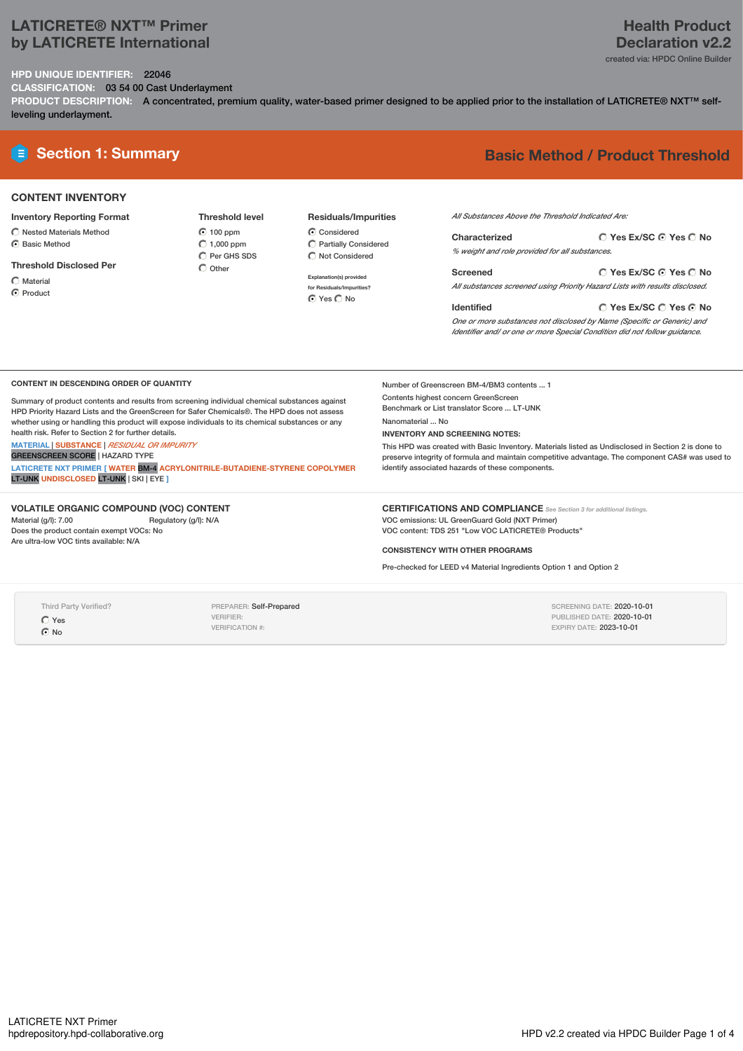# **LATICRETE® NXT™ Primer by LATICRETE International**

# **Health Product Declaration v2.2**

created via: HPDC Online Builder

**HPD UNIQUE IDENTIFIER:** 22046 **CLASSIFICATION:** 03 54 00 Cast Underlayment

PRODUCT DESCRIPTION: A concentrated, premium quality, water-based primer designed to be applied prior to the installation of LATICRETE® NXT™ selfleveling underlayment.

# **E** Section 1: Summary **Basic** Method / Product Threshold

# **CONTENT INVENTORY**

### **Inventory Reporting Format**

 $\bigcirc$  Nested Materials Method

C Basic Method

**Threshold Disclosed Per**

Material

**C** Product

**Threshold level 6** 100 ppm  $\bigcirc$  1,000 ppm  $\overline{O}$  Per GHS SDS  $\bigcap$  Other

## **Residuals/Impurities**

C Considered Partially Considered  $\bigcirc$  Not Considered

**Explanation(s) provided for Residuals/Impurities?** O Yes O No

*All Substances Above the Threshold Indicated Are:*

**Yes Ex/SC Yes No Characterized** *% weight and role provided for all substances.*

**Yes Ex/SC Yes No Screened** *All substances screened using Priority Hazard Lists with results disclosed.*

**Identified**

Number of Greenscreen BM-4/BM3 contents ... 1 Contents highest concern GreenScreen Benchmark or List translator Score ... LT-UNK

**INVENTORY AND SCREENING NOTES:**

Nanomaterial ... No

**Yes Ex/SC Yes No** *One or more substances not disclosed by Name (Specific or Generic) and Identifier and/ or one or more Special Condition did not follow guidance.*

#### **CONTENT IN DESCENDING ORDER OF QUANTITY**

Summary of product contents and results from screening individual chemical substances against HPD Priority Hazard Lists and the GreenScreen for Safer Chemicals®. The HPD does not assess whether using or handling this product will expose individuals to its chemical substances or any health risk. Refer to Section 2 for further details.

## **MATERIAL** | **SUBSTANCE** | *RESIDUAL OR IMPURITY*

GREENSCREEN SCORE | HAZARD TYPE **LATICRETE NXT PRIMER [ WATER** BM-4 **ACRYLONITRILE-BUTADIENE-STYRENE COPOLYMER** LT-UNK **UNDISCLOSED** LT-UNK | SKI | EYE **]**

### **VOLATILE ORGANIC COMPOUND (VOC) CONTENT**

Material (g/l): 7.00 Regulatory (g/l): N/A Does the product contain exempt VOCs: No Are ultra-low VOC tints available: N/A

identify associated hazards of these components.

This HPD was created with Basic Inventory. Materials listed as Undisclosed in Section 2 is done to preserve integrity of formula and maintain competitive advantage. The component CAS# was used to

**CERTIFICATIONS AND COMPLIANCE** *See Section <sup>3</sup> for additional listings.* VOC emissions: UL GreenGuard Gold (NXT Primer) VOC content: TDS 251 "Low VOC LATICRETE® Products"

### **CONSISTENCY WITH OTHER PROGRAMS**

Pre-checked for LEED v4 Material Ingredients Option 1 and Option 2

Third Party Verified?

Yes  $\odot$  No

PREPARER: Self-Prepared VERIFIER: VERIFICATION #:

SCREENING DATE: 2020-10-01 PUBLISHED DATE: 2020-10-01 EXPIRY DATE: 2023-10-01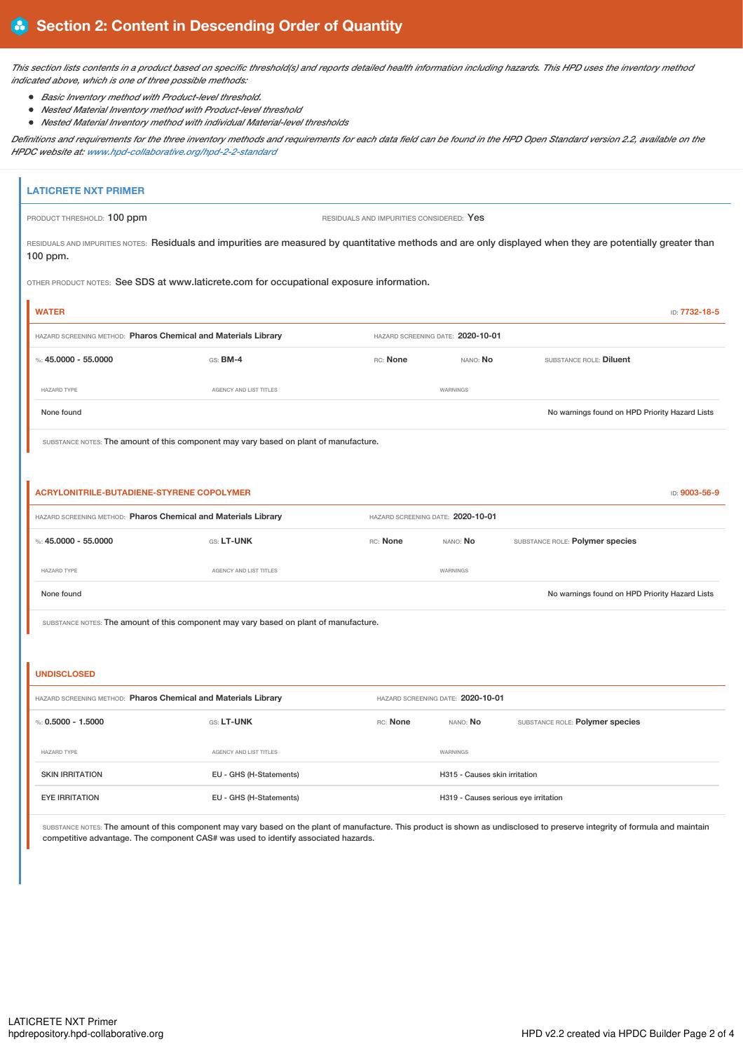This section lists contents in a product based on specific threshold(s) and reports detailed health information including hazards. This HPD uses the inventory method *indicated above, which is one of three possible methods:*

- *Basic Inventory method with Product-level threshold.*
- *Nested Material Inventory method with Product-level threshold*
- *Nested Material Inventory method with individual Material-level thresholds*

Definitions and requirements for the three inventory methods and requirements for each data field can be found in the HPD Open Standard version 2.2, available on the *HPDC website at: [www.hpd-collaborative.org/hpd-2-2-standard](https://www.hpd-collaborative.org/hpd-2-2-standard)*

| <b>LATICRETE NXT PRIMER</b>                                    |                                                                                                                                                                              |          |                                   |                                                |               |  |  |
|----------------------------------------------------------------|------------------------------------------------------------------------------------------------------------------------------------------------------------------------------|----------|-----------------------------------|------------------------------------------------|---------------|--|--|
| PRODUCT THRESHOLD: 100 ppm                                     | RESIDUALS AND IMPURITIES CONSIDERED: Yes                                                                                                                                     |          |                                   |                                                |               |  |  |
| 100 ppm.                                                       | RESIDUALS AND IMPURITIES NOTES: Residuals and impurities are measured by quantitative methods and are only displayed when they are potentially greater than                  |          |                                   |                                                |               |  |  |
|                                                                | OTHER PRODUCT NOTES: See SDS at www.laticrete.com for occupational exposure information.                                                                                     |          |                                   |                                                |               |  |  |
| <b>WATER</b>                                                   |                                                                                                                                                                              |          |                                   |                                                | ID: 7732-18-5 |  |  |
| HAZARD SCREENING METHOD: Pharos Chemical and Materials Library |                                                                                                                                                                              |          | HAZARD SCREENING DATE: 2020-10-01 |                                                |               |  |  |
| %: $45.0000 - 55.0000$                                         | GS: BM-4                                                                                                                                                                     | RC: None | NANO: No                          | SUBSTANCE ROLE: Diluent                        |               |  |  |
| <b>HAZARD TYPE</b>                                             | AGENCY AND LIST TITLES                                                                                                                                                       |          | WARNINGS                          |                                                |               |  |  |
| None found                                                     |                                                                                                                                                                              |          |                                   | No warnings found on HPD Priority Hazard Lists |               |  |  |
|                                                                | SUBSTANCE NOTES: The amount of this component may vary based on plant of manufacture.                                                                                        |          |                                   |                                                |               |  |  |
|                                                                |                                                                                                                                                                              |          |                                   |                                                |               |  |  |
| <b>ACRYLONITRILE-BUTADIENE-STYRENE COPOLYMER</b>               |                                                                                                                                                                              |          |                                   |                                                | ID: 9003-56-9 |  |  |
| HAZARD SCREENING METHOD: Pharos Chemical and Materials Library |                                                                                                                                                                              |          | HAZARD SCREENING DATE: 2020-10-01 |                                                |               |  |  |
| %: $45.0000 - 55.0000$                                         | GS: LT-UNK                                                                                                                                                                   | RC: None | NANO: No                          | SUBSTANCE ROLE: Polymer species                |               |  |  |
| <b>HAZARD TYPE</b>                                             | AGENCY AND LIST TITLES                                                                                                                                                       |          | WARNINGS                          |                                                |               |  |  |
| None found                                                     |                                                                                                                                                                              |          |                                   | No warnings found on HPD Priority Hazard Lists |               |  |  |
|                                                                | SUBSTANCE NOTES: The amount of this component may vary based on plant of manufacture.                                                                                        |          |                                   |                                                |               |  |  |
|                                                                |                                                                                                                                                                              |          |                                   |                                                |               |  |  |
| <b>UNDISCLOSED</b>                                             |                                                                                                                                                                              |          |                                   |                                                |               |  |  |
| HAZARD SCREENING METHOD: Pharos Chemical and Materials Library |                                                                                                                                                                              |          | HAZARD SCREENING DATE: 2020-10-01 |                                                |               |  |  |
| %: $0.5000 - 1.5000$                                           | GS: LT-UNK                                                                                                                                                                   | RC: None | NANO: No                          | SUBSTANCE ROLE: Polymer species                |               |  |  |
| HAZARD TYPE                                                    | AGENCY AND LIST TITLES                                                                                                                                                       |          | WARNINGS                          |                                                |               |  |  |
| <b>SKIN IRRITATION</b>                                         | EU - GHS (H-Statements)                                                                                                                                                      |          | H315 - Causes skin irritation     |                                                |               |  |  |
| <b>EYE IRRITATION</b>                                          | EU - GHS (H-Statements)                                                                                                                                                      |          |                                   | H319 - Causes serious eye irritation           |               |  |  |
|                                                                | SUBSTANCE NOTES: The amount of this component may vary based on the plant of manufacture. This product is shown as undisclosed to preserve integrity of formula and maintain |          |                                   |                                                |               |  |  |

competitive advantage. The component CAS# was used to identify associated hazards.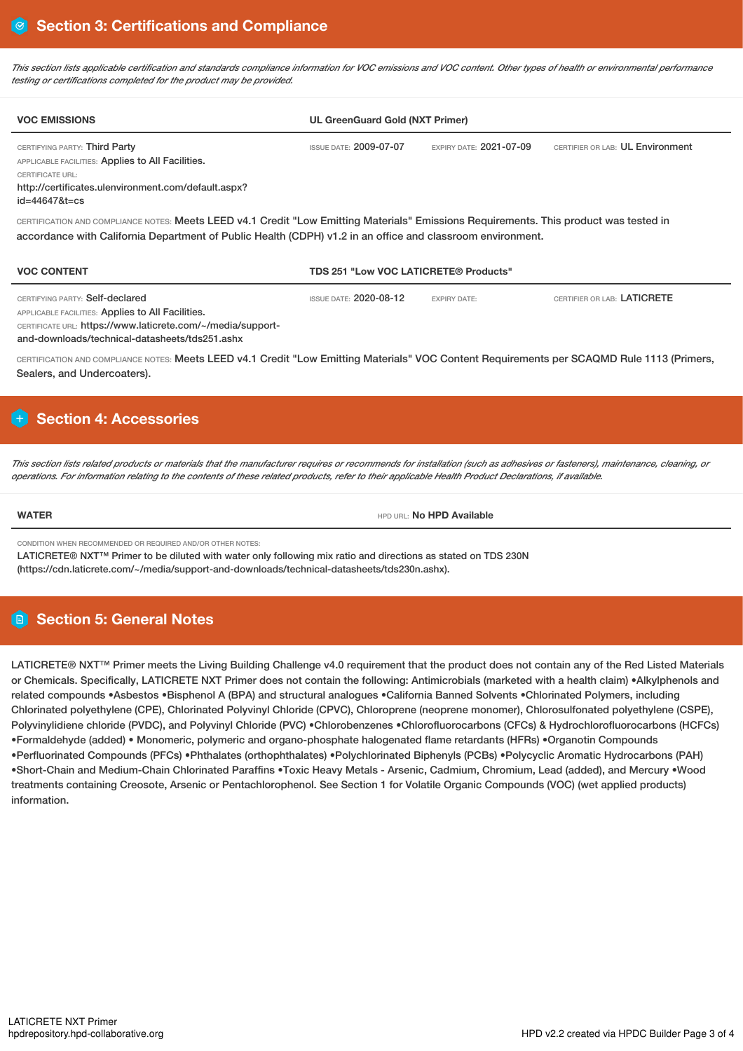This section lists applicable certification and standards compliance information for VOC emissions and VOC content. Other types of health or environmental performance *testing or certifications completed for the product may be provided.*

| <b>VOC EMISSIONS</b>                                                                                                                                                                                                                                 | <b>UL GreenGuard Gold (NXT Primer)</b> |                                |                                  |  |
|------------------------------------------------------------------------------------------------------------------------------------------------------------------------------------------------------------------------------------------------------|----------------------------------------|--------------------------------|----------------------------------|--|
| CERTIFYING PARTY: Third Party<br>APPLICABLE FACILITIES: Applies to All Facilities.<br>CERTIFICATE URL:<br>http://certificates.ulenvironment.com/default.aspx?<br>$id = 446478t = cs$                                                                 | <b>ISSUE DATE: 2009-07-07</b>          | <b>EXPIRY DATE: 2021-07-09</b> | CERTIFIER OR LAB: UL Environment |  |
| CERTIFICATION AND COMPLIANCE NOTES: Meets LEED v4.1 Credit "Low Emitting Materials" Emissions Requirements. This product was tested in<br>accordance with California Department of Public Health (CDPH) v1.2 in an office and classroom environment. |                                        |                                |                                  |  |
| <b>VOC CONTENT</b>                                                                                                                                                                                                                                   | TDS 251 "Low VOC LATICRETE® Products"  |                                |                                  |  |
| CERTIFYING PARTY: Self-declared<br>APPLICABLE FACILITIES: Applies to All Facilities.<br>CERTIFICATE URL: https://www.laticrete.com/~/media/support-                                                                                                  | <b>ISSUE DATE: 2020-08-12</b>          | <b>EXPIRY DATE:</b>            | CERTIFIER OR LAB: LATICRETE      |  |

and-downloads/technical-datasheets/tds251.ashx

CERTIFICATION AND COMPLIANCE NOTES: Meets LEED v4.1 Credit "Low Emitting Materials" VOC Content Requirements per SCAQMD Rule 1113 (Primers, Sealers, and Undercoaters).

# **Section 4: Accessories**

This section lists related products or materials that the manufacturer requires or recommends for installation (such as adhesives or fasteners), maintenance, cleaning, or operations. For information relating to the contents of these related products, refer to their applicable Health Product Declarations, if available.

**WATER WATER WATER HPD AVAILABLE** 

CONDITION WHEN RECOMMENDED OR REQUIRED AND/OR OTHER NOTES:

LATICRETE® NXT™ Primer to be diluted with water only following mix ratio and directions as stated on TDS 230N

(https://cdn.laticrete.com/~/media/support-and-downloads/technical-datasheets/tds230n.ashx).

# **Section 5: General Notes**

LATICRETE® NXT™ Primer meets the Living Building Challenge v4.0 requirement that the product does not contain any of the Red Listed Materials or Chemicals. Specifically, LATICRETE NXT Primer does not contain the following: Antimicrobials (marketed with a health claim) •Alkylphenols and related compounds •Asbestos •Bisphenol A (BPA) and structural analogues •California Banned Solvents •Chlorinated Polymers, including Chlorinated polyethylene (CPE), Chlorinated Polyvinyl Chloride (CPVC), Chloroprene (neoprene monomer), Chlorosulfonated polyethylene (CSPE), Polyvinylidiene chloride (PVDC), and Polyvinyl Chloride (PVC) •Chlorobenzenes •Chlorofluorocarbons (CFCs) & Hydrochlorofluorocarbons (HCFCs) •Formaldehyde (added) • Monomeric, polymeric and organo-phosphate halogenated flame retardants (HFRs) •Organotin Compounds •Perfluorinated Compounds (PFCs) •Phthalates (orthophthalates) •Polychlorinated Biphenyls (PCBs) •Polycyclic Aromatic Hydrocarbons (PAH) •Short-Chain and Medium-Chain Chlorinated Paraffins •Toxic Heavy Metals - Arsenic, Cadmium, Chromium, Lead (added), and Mercury •Wood treatments containing Creosote, Arsenic or Pentachlorophenol. See Section 1 for Volatile Organic Compounds (VOC) (wet applied products) information.